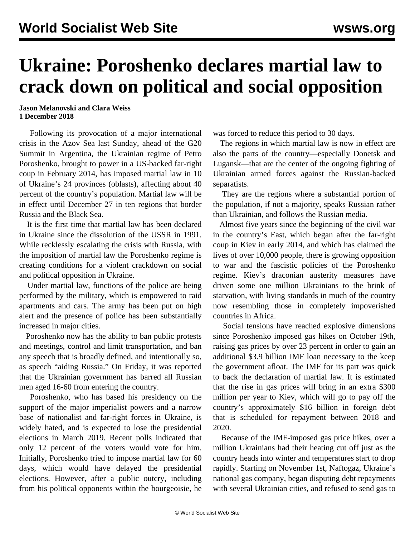## **Ukraine: Poroshenko declares martial law to crack down on political and social opposition**

**Jason Melanovski and Clara Weiss 1 December 2018**

 Following its provocation of a major international crisis in the Azov Sea last Sunday, ahead of the G20 Summit in Argentina, the Ukrainian regime of Petro Poroshenko, brought to power in a US-backed far-right coup in February 2014, has imposed martial law in 10 of Ukraine's 24 provinces (oblasts), affecting about 40 percent of the country's population. Martial law will be in effect until December 27 in ten regions that border Russia and the Black Sea.

 It is the first time that martial law has been declared in Ukraine since the dissolution of the USSR in 1991. While recklessly escalating the crisis with Russia, with the imposition of martial law the Poroshenko regime is creating conditions for a violent crackdown on social and political opposition in Ukraine.

 Under martial law, functions of the police are being performed by the military, which is empowered to raid apartments and cars. The army has been put on high alert and the presence of police has been substantially increased in major cities.

 Poroshenko now has the ability to ban public protests and meetings, control and limit transportation, and ban any speech that is broadly defined, and intentionally so, as speech "aiding Russia." On Friday, it was reported that the Ukrainian government has barred all Russian men aged 16-60 from entering the country.

 Poroshenko, who has based his presidency on the support of the major imperialist powers and a narrow base of nationalist and far-right forces in Ukraine, is widely hated, and is expected to lose the presidential elections in March 2019. Recent polls indicated that only 12 percent of the voters would vote for him. Initially, Poroshenko tried to impose martial law for 60 days, which would have delayed the presidential elections. However, after a public outcry, including from his political opponents within the bourgeoisie, he

was forced to reduce this period to 30 days.

 The regions in which martial law is now in effect are also the parts of the country—especially Donetsk and Lugansk—that are the center of the ongoing fighting of Ukrainian armed forces against the Russian-backed separatists.

 They are the regions where a substantial portion of the population, if not a majority, speaks Russian rather than Ukrainian, and follows the Russian media.

 Almost five years since the beginning of the civil war in the country's East, which began after the far-right coup in Kiev in early 2014, and which has claimed the lives of over 10,000 people, there is growing opposition to war and the fascistic policies of the Poroshenko regime. Kiev's draconian austerity measures have driven some one million Ukrainians to the brink of starvation, with living standards in much of the country now resembling those in completely impoverished countries in Africa.

 Social tensions have reached explosive dimensions since Poroshenko imposed gas hikes on October 19th, raising gas prices by over 23 percent in order to gain an additional \$3.9 billion IMF loan necessary to the keep the government afloat. The IMF for its part was quick to back the declaration of martial law. It is estimated that the rise in gas prices will bring in an extra \$300 million per year to Kiev, which will go to pay off the country's approximately \$16 billion in foreign debt that is scheduled for repayment between 2018 and 2020.

 Because of the IMF-imposed gas price hikes, over a million Ukrainians had their heating cut off just as the country heads into winter and temperatures start to drop rapidly. Starting on November 1st, Naftogaz, Ukraine's national gas company, began disputing debt repayments with several Ukrainian cities, and refused to send gas to